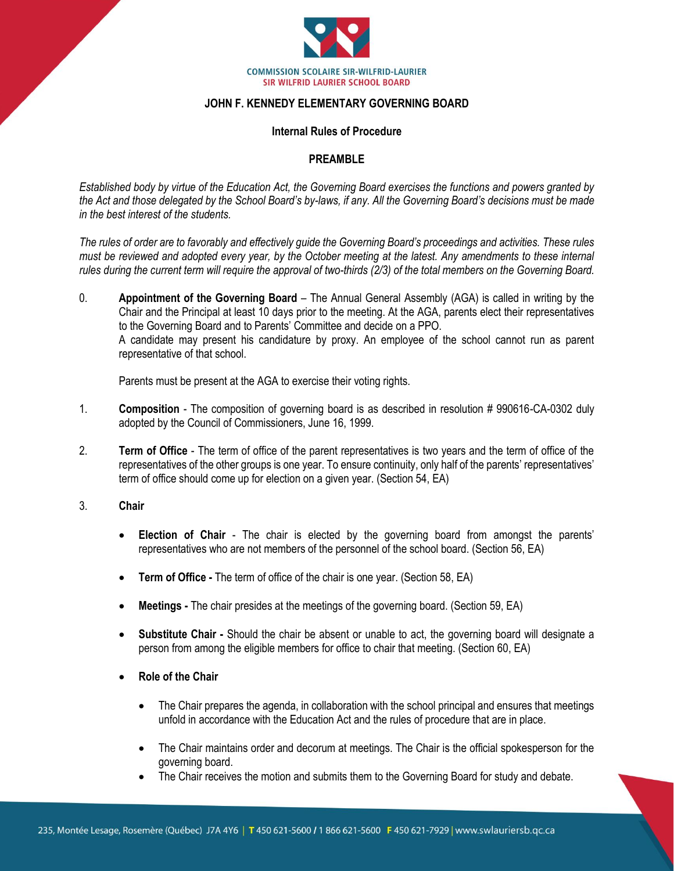

## **JOHN F. KENNEDY ELEMENTARY GOVERNING BOARD**

#### **Internal Rules of Procedure**

#### **PREAMBLE**

*Established body by virtue of the Education Act, the Governing Board exercises the functions and powers granted by the Act and those delegated by the School Board's by-laws, if any. All the Governing Board's decisions must be made in the best interest of the students.* 

*The rules of order are to favorably and effectively guide the Governing Board's proceedings and activities. These rules must be reviewed and adopted every year, by the October meeting at the latest. Any amendments to these internal rules during the current term will require the approval of two-thirds (2/3) of the total members on the Governing Board.*

0. **Appointment of the Governing Board** – The Annual General Assembly (AGA) is called in writing by the Chair and the Principal at least 10 days prior to the meeting. At the AGA, parents elect their representatives to the Governing Board and to Parents' Committee and decide on a PPO. A candidate may present his candidature by proxy. An employee of the school cannot run as parent representative of that school.

Parents must be present at the AGA to exercise their voting rights.

- 1. **Composition**  The composition of governing board is as described in resolution # 990616-CA-0302 duly adopted by the Council of Commissioners, June 16, 1999.
- 2. **Term of Office**  The term of office of the parent representatives is two years and the term of office of the representatives of the other groups is one year. To ensure continuity, only half of the parents' representatives' term of office should come up for election on a given year. (Section 54, EA)
- 3. **Chair**
	- **Election of Chair**  The chair is elected by the governing board from amongst the parents' representatives who are not members of the personnel of the school board. (Section 56, EA)
	- **Term of Office -** The term of office of the chair is one year. (Section 58, EA)
	- **Meetings -** The chair presides at the meetings of the governing board. (Section 59, EA)
	- **Substitute Chair -** Should the chair be absent or unable to act, the governing board will designate a person from among the eligible members for office to chair that meeting. (Section 60, EA)
	- **Role of the Chair**
		- The Chair prepares the agenda, in collaboration with the school principal and ensures that meetings unfold in accordance with the Education Act and the rules of procedure that are in place.
		- The Chair maintains order and decorum at meetings. The Chair is the official spokesperson for the governing board.
		- The Chair receives the motion and submits them to the Governing Board for study and debate.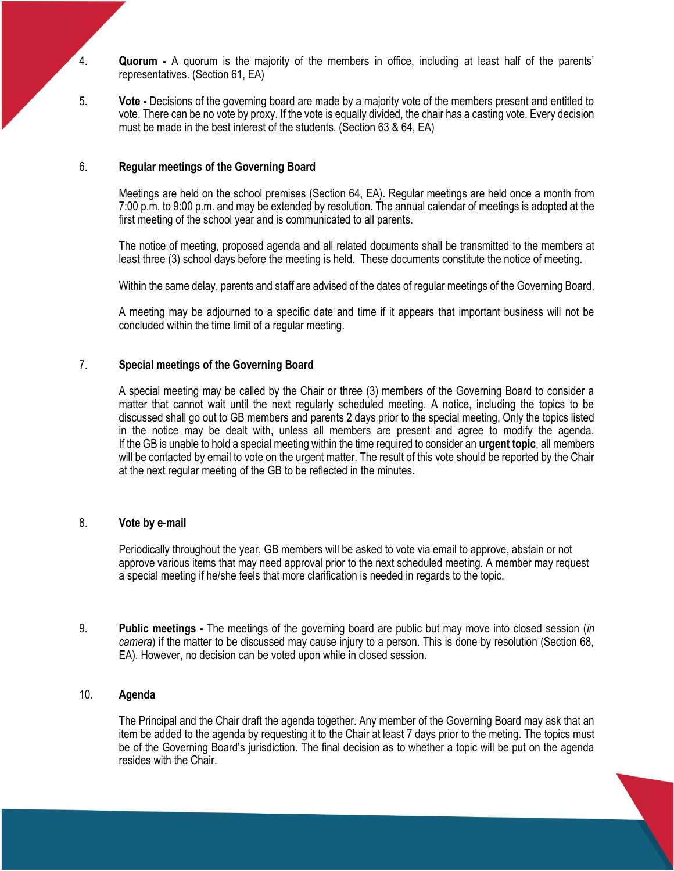4. **Quorum -** A quorum is the majority of the members in office, including at least half of the parents' representatives. (Section 61, EA)

5. **Vote -** Decisions of the governing board are made by a majority vote of the members present and entitled to vote. There can be no vote by proxy. If the vote is equally divided, the chair has a casting vote. Every decision must be made in the best interest of the students. (Section 63 & 64, EA)

#### 6. **Regular meetings of the Governing Board**

Meetings are held on the school premises (Section 64, EA). Regular meetings are held once a month from 7:00 p.m. to 9:00 p.m. and may be extended by resolution. The annual calendar of meetings is adopted at the first meeting of the school year and is communicated to all parents.

The notice of meeting, proposed agenda and all related documents shall be transmitted to the members at least three (3) school days before the meeting is held. These documents constitute the notice of meeting.

Within the same delay, parents and staff are advised of the dates of regular meetings of the Governing Board.

A meeting may be adjourned to a specific date and time if it appears that important business will not be concluded within the time limit of a regular meeting.

## 7. **Special meetings of the Governing Board**

A special meeting may be called by the Chair or three (3) members of the Governing Board to consider a matter that cannot wait until the next regularly scheduled meeting. A notice, including the topics to be discussed shall go out to GB members and parents 2 days prior to the special meeting. Only the topics listed in the notice may be dealt with, unless all members are present and agree to modify the agenda. If the GB is unable to hold a special meeting within the time required to consider an **urgent topic**, all members will be contacted by email to vote on the urgent matter. The result of this vote should be reported by the Chair at the next regular meeting of the GB to be reflected in the minutes.

#### 8. **Vote by e-mail**

Periodically throughout the year, GB members will be asked to vote via email to approve, abstain or not approve various items that may need approval prior to the next scheduled meeting. A member may request a special meeting if he/she feels that more clarification is needed in regards to the topic.

9. **Public meetings -** The meetings of the governing board are public but may move into closed session (*in camera*) if the matter to be discussed may cause injury to a person. This is done by resolution (Section 68, EA). However, no decision can be voted upon while in closed session.

#### 10. **Agenda**

The Principal and the Chair draft the agenda together. Any member of the Governing Board may ask that an item be added to the agenda by requesting it to the Chair at least 7 days prior to the meting. The topics must be of the Governing Board's jurisdiction. The final decision as to whether a topic will be put on the agenda resides with the Chair.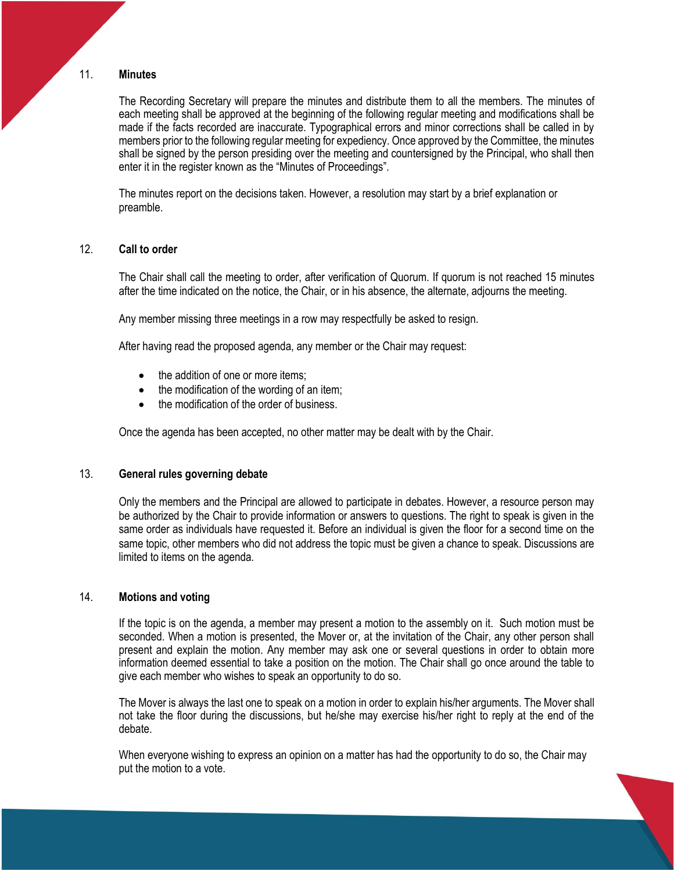#### 11. **Minutes**

The Recording Secretary will prepare the minutes and distribute them to all the members. The minutes of each meeting shall be approved at the beginning of the following regular meeting and modifications shall be made if the facts recorded are inaccurate. Typographical errors and minor corrections shall be called in by members prior to the following regular meeting for expediency. Once approved by the Committee, the minutes shall be signed by the person presiding over the meeting and countersigned by the Principal, who shall then enter it in the register known as the "Minutes of Proceedings".

The minutes report on the decisions taken. However, a resolution may start by a brief explanation or preamble.

## 12. **Call to order**

The Chair shall call the meeting to order, after verification of Quorum. If quorum is not reached 15 minutes after the time indicated on the notice, the Chair, or in his absence, the alternate, adjourns the meeting.

Any member missing three meetings in a row may respectfully be asked to resign.

After having read the proposed agenda, any member or the Chair may request:

- the addition of one or more items:
- the modification of the wording of an item;
- the modification of the order of business.

Once the agenda has been accepted, no other matter may be dealt with by the Chair.

## 13. **General rules governing debate**

Only the members and the Principal are allowed to participate in debates. However, a resource person may be authorized by the Chair to provide information or answers to questions. The right to speak is given in the same order as individuals have requested it. Before an individual is given the floor for a second time on the same topic, other members who did not address the topic must be given a chance to speak. Discussions are limited to items on the agenda.

## 14. **Motions and voting**

If the topic is on the agenda, a member may present a motion to the assembly on it. Such motion must be seconded. When a motion is presented, the Mover or, at the invitation of the Chair, any other person shall present and explain the motion. Any member may ask one or several questions in order to obtain more information deemed essential to take a position on the motion. The Chair shall go once around the table to give each member who wishes to speak an opportunity to do so.

The Mover is always the last one to speak on a motion in order to explain his/her arguments. The Mover shall not take the floor during the discussions, but he/she may exercise his/her right to reply at the end of the debate.

When everyone wishing to express an opinion on a matter has had the opportunity to do so, the Chair may put the motion to a vote.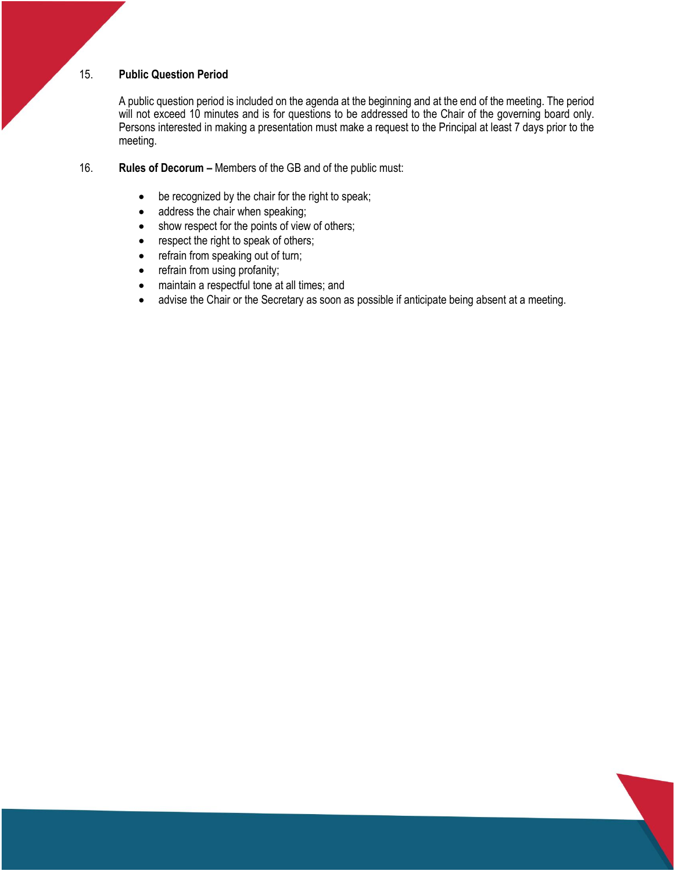## 15. **Public Question Period**

A public question period is included on the agenda at the beginning and at the end of the meeting. The period will not exceed 10 minutes and is for questions to be addressed to the Chair of the governing board only. Persons interested in making a presentation must make a request to the Principal at least 7 days prior to the meeting.

## 16. **Rules of Decorum –** Members of the GB and of the public must:

- be recognized by the chair for the right to speak;
- address the chair when speaking;
- show respect for the points of view of others;
- respect the right to speak of others;
- refrain from speaking out of turn;
- refrain from using profanity;
- maintain a respectful tone at all times; and
- advise the Chair or the Secretary as soon as possible if anticipate being absent at a meeting.